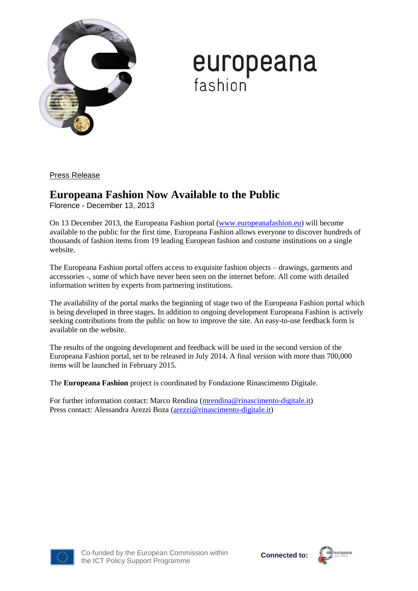

## **europeana**<br>fashion

Press Release

## **Europeana Fashion Now Available to the Public**

Florence - December 13, 2013

On 13 December 2013, the Europeana Fashion portal [\(www.europeanafashion.eu\)](www.europeanafashion.eu) will become available to the public for the first time. Europeana Fashion allows everyone to discover hundreds of thousands of fashion items from 19 leading European fashion and costume institutions on a single website.

The Europeana Fashion portal offers access to exquisite fashion objects – drawings, garments and accessories -, some of which have never been seen on the internet before. All come with detailed information written by experts from partnering institutions.

The availability of the portal marks the beginning of stage two of the Europeana Fashion portal which is being developed in three stages. In addition to ongoing development Europeana Fashion is actively seeking contributions from the public on how to improve the site. An easy-to-use feedback form is available on the website.

The results of the ongoing development and feedback will be used in the second version of the Europeana Fashion portal, set to be released in July 2014. A final version with more than 700,000 items will be launched in February 2015.

The **Europeana Fashion** project is coordinated by Fondazione Rinascimento Digitale.

For further information contact: Marco Rendina [\(mrendina@rinascimento-digitale.it\)](mailto:mrendina@rinascimento-digitale.it) Press contact: Alessandra Arezzi Boza [\(arezzi@rinascimento-digitale.it\)](mailto:arezzi@rinascimento-digitale.it)